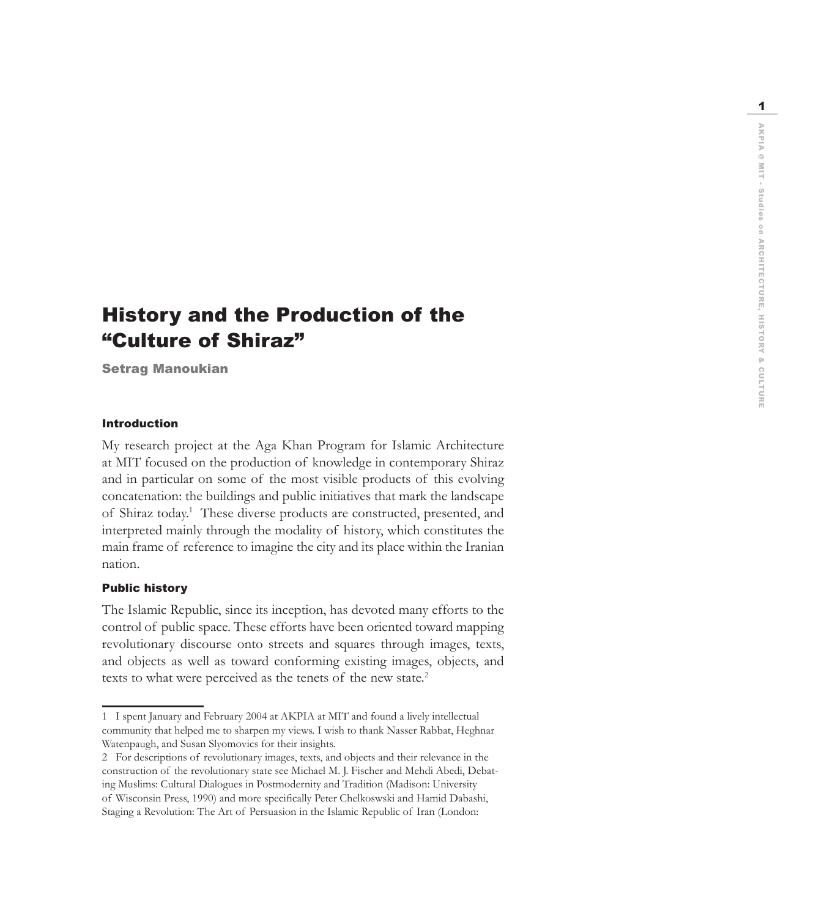$\overline{1}$ 

# History and the Production of the "Culture of Shiraz"

Setrag Manoukian

# Introduction

My research project at the Aga Khan Program for Islamic Architecture at MIT focused on the production of knowledge in contemporary Shiraz and in particular on some of the most visible products of this evolving concatenation: the buildings and public initiatives that mark the landscape of Shiraz today. 1 These diverse products are constructed, presented, and interpreted mainly through the modality of history, which constitutes the main frame of reference to imagine the city and its place within the Iranian nation.

### Public history

The Islamic Republic, since its inception, has devoted many efforts to the control of public space. These efforts have been oriented toward mapping revolutionary discourse onto streets and squares through images, texts, and objects as well as toward conforming existing images, objects, and texts to what were perceived as the tenets of the new state. 2

<sup>1</sup> I spent January and February 2004 at AKPIA at MIT and found a lively intellectual community that helped me to sharpen my views. I wish to thank Nasser Rabbat, Heghnar Watenpaugh, and Susan Slyomovics for their insights.

<sup>2</sup> For descriptions of revolutionary images, texts, and objects and their relevance in the construction of the revolutionary state see Michael M. J. Fischer and Mehdi Abedi, Debat ing Muslims: Cultural Dialogues in Postmodernity and Tradition (Madison: University of Wisconsin Press, 1990) and more specifically Peter Chelkoswski and Hamid Dabashi, Staging a Revolution: The Art of Persuasion in the Islamic Republic of Iran (London: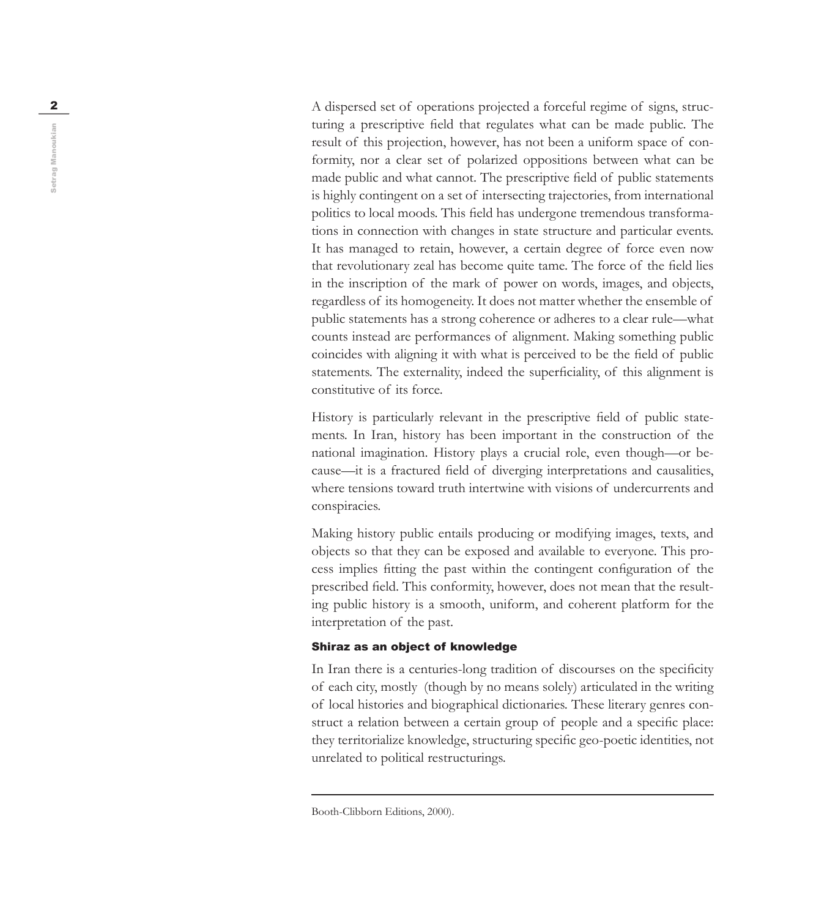2 turing a prescriptive field that regulates what can be made public. The result of this projection, however, has not been a uniform space of con formity, nor a clear set of polarized oppositions between what can be made public and what cannot. The prescriptive field of public statements is highly contingent on a set of intersecting trajectories, from international politics to local moods. This field has undergone tremendous transformations in connection with changes in state structure and particular events. It has managed to retain, however, a certain degree of force even now that revolutionary zeal has become quite tame. The force of the field lies in the inscription of the mark of power on words, images, and objects, regardless of its homogeneity. It does not matter whether the ensemble of public statements has a strong coherence or adheres to a clear rule—what counts instead are performances of alignment. Making something public coincides with aligning it with what is perceived to be the field of public statements. The externality, indeed the superficiality, of this alignment is constitutive of its force.

> History is particularly relevant in the prescriptive field of public statements. In Iran, history has been important in the construction of the national imagination. History plays a crucial role, even though-or because—it is a fractured field of diverging interpretations and causalities, where tensions toward truth intertwine with visions of undercurrents and conspiracies.

> Making history public entails producing or modifying images, texts, and objects so that they can be exposed and available to everyone. This pro cess implies fitting the past within the contingent configuration of the prescribed field. This conformity, however, does not mean that the result ing public history is a smooth, uniform, and coherent platform for the interpretation of the past.

# Shiraz as an object of knowledge

In Iran there is a centuries-long tradition of discourses on the specificity of each city, mostly (though by no means solely) articulated in the writing of local histories and biographical dictionaries. These literary genres con struct a relation between a certain group of people and a specific place: they territorialize knowledge, structuring specific geo-poetic identities, not unrelated to political restructurings.

Setrag Manoukian Setrag Manoukian

Booth-Clibborn Editions, 2000).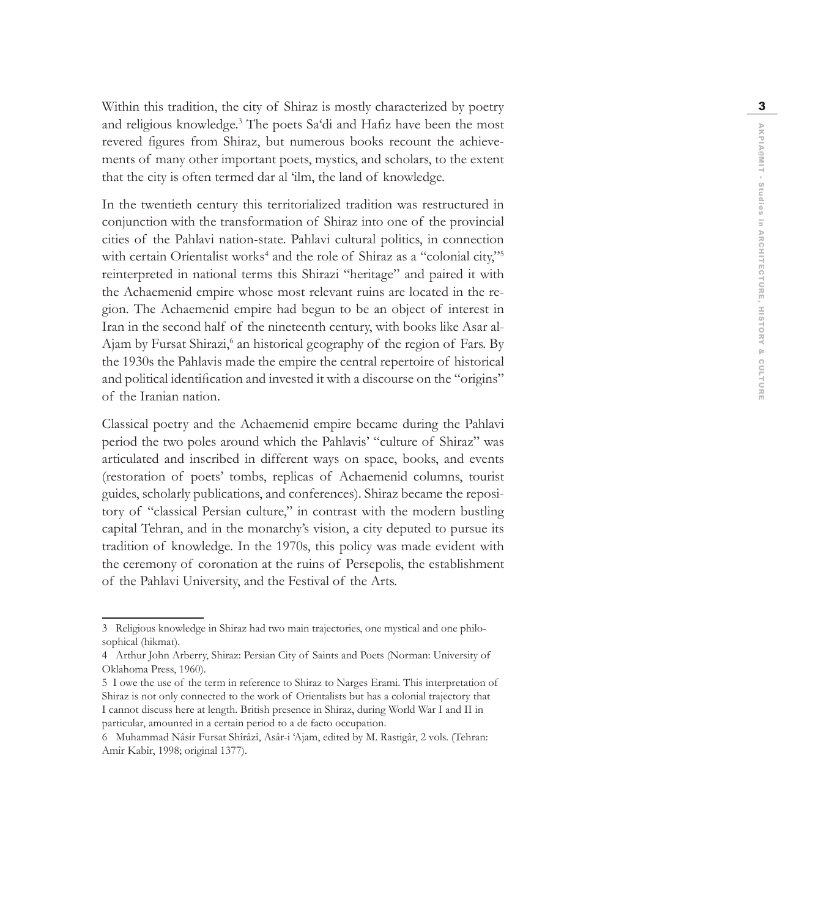Within this tradition, the city of Shiraz is mostly characterized by poetry and religious knowledge. 3 The poets Sa'di and Hafiz have been the most revered figures from Shiraz, but numerous books recount the achievements of many other important poets, mystics, and scholars, to the extent that the city is often termed dar al 'ilm, the land of knowledge.

In the twentieth century this territorialized tradition was restructured in conjunction with the transformation of Shiraz into one of the provincial cities of the Pahlavi nation-state. Pahlavi cultural politics, in connection with certain Orientalist works<sup>4</sup> and the role of Shiraz as a "colonial city,"<sup>5</sup> reinterpreted in national terms this Shirazi "heritage" and paired it with the Achaemenid empire whose most relevant ruins are located in the re gion. The Achaemenid empire had begun to be an object of interest in Iran in the second half of the nineteenth century, with books like Asar al-Ajam by Fursat Shirazi,<sup>6</sup> an historical geography of the region of Fars. By the 1930s the Pahlavis made the empire the central repertoire of historical and political identification and invested it with a discourse on the "origins" of the Iranian nation.

Classical poetry and the Achaemenid empire became during the Pahlavi period the two poles around which the Pahlavis' "culture of Shiraz" was articulated and inscribed in different ways on space, books, and events (restoration of poets' tombs, replicas of Achaemenid columns, tourist guides, scholarly publications, and conferences). Shiraz became the reposi tory of "classical Persian culture," in contrast with the modern bustling capital Tehran, and in the monarchy's vision, a city deputed to pursue its tradition of knowledge. In the 1970s, this policy was made evident with the ceremony of coronation at the ruins of Persepolis, the establishment of the Pahlavi University, and the Festival of the Arts.<br>3 Religious knowledge in Shiraz had two main trajectories, one mystical and one philo-

sophical (hikmat).

<sup>4</sup> Arthur John Arberry, Shiraz: Persian City of Saints and Poets (Norman: University of Oklahoma Press, 1960).

<sup>5</sup> I owe the use of the term in reference to Shiraz to Narges Erami. This interpretation of Shiraz is not only connected to the work of Orientalists but has a colonial trajectory that I cannot discuss here at length. British presence in Shiraz, during World War I and II in particular, amounted in a certain period to a de facto occupation.

<sup>6</sup> Muhammad Nâsir Fursat Shîrâzî, Asâr-i 'Ajam, edited by M. Rastigâr, 2 vols. (Tehran: Amîr Kabîr, 1998; original 1377).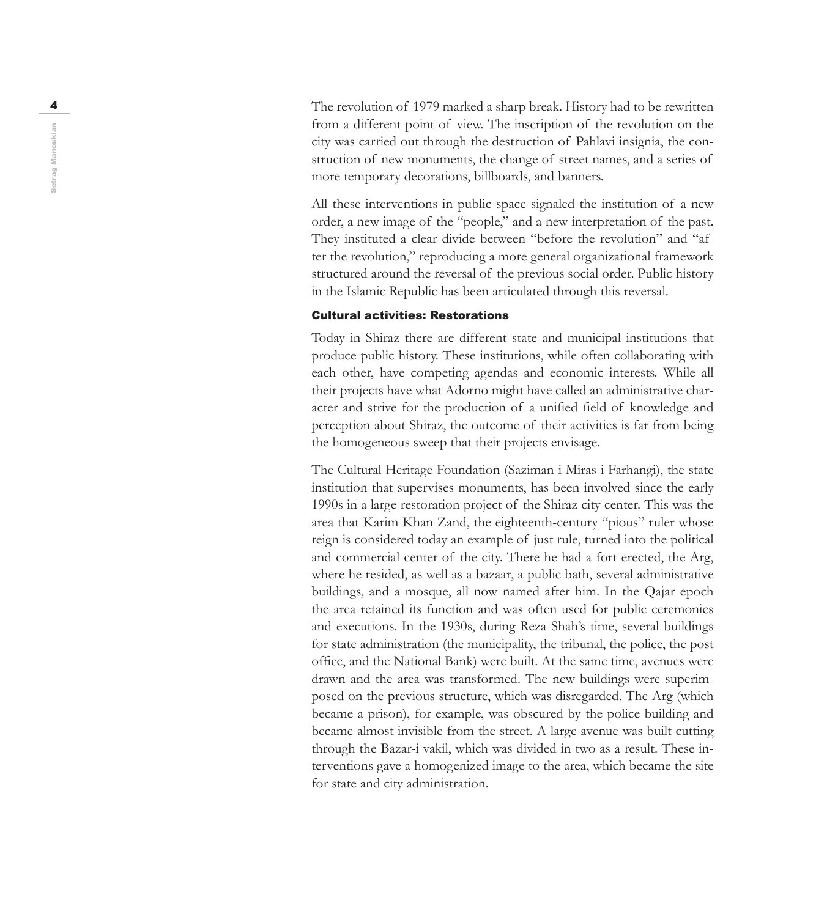4 The revolution of 1979 marked a sharp break. History had to be rewritten from a different point of view. The inscription of the revolution on the city was carried out through the destruction of Pahlavi insignia, the con struction of new monuments, the change of street names, and a series of more temporary decorations, billboards, and banners.

> All these interventions in public space signaled the institution of a new order, a new image of the "people," and a new interpretation of the past. They instituted a clear divide between "before the revolution" and "after the revolution," reproducing a more general organizational framework structured around the reversal of the previous social order. Public history in the Islamic Republic has been articulated through this reversal.

#### Cultural activities: Restorations

Today in Shiraz there are different state and municipal institutions that produce public history. These institutions, while often collaborating with each other, have competing agendas and economic interests. While all their projects have what Adorno might have called an administrative char acter and strive for the production of a unified field of knowledge and perception about Shiraz, the outcome of their activities is far from being the homogeneous sweep that their projects envisage.

The Cultural Heritage Foundation (Saziman-i Miras-i Farhangi), the state institution that supervises monuments, has been involved since the early 1990s in a large restoration project of the Shiraz city center. This was the area that Karim Khan Zand, the eighteenth-century "pious" ruler whose reign is considered today an example of just rule, turned into the political and commercial center of the city. There he had a fort erected, the Arg, where he resided, as well as a bazaar, a public bath, several administrative buildings, and a mosque, all now named after him. In the Qajar epoch the area retained its function and was often used for public ceremonies and executions. In the 1930s, during Reza Shah's time, several buildings for state administration (the municipality, the tribunal, the police, the post office, and the National Bank) were built. At the same time, avenues were drawn and the area was transformed. The new buildings were superim posed on the previous structure, which was disregarded. The Arg (which became a prison), for example, was obscured by the police building and became almost invisible from the street. A large avenue was built cutting through the Bazar-i vakil, which was divided in two as a result. These in terventions gave a homogenized image to the area, which became the site for state and city administration.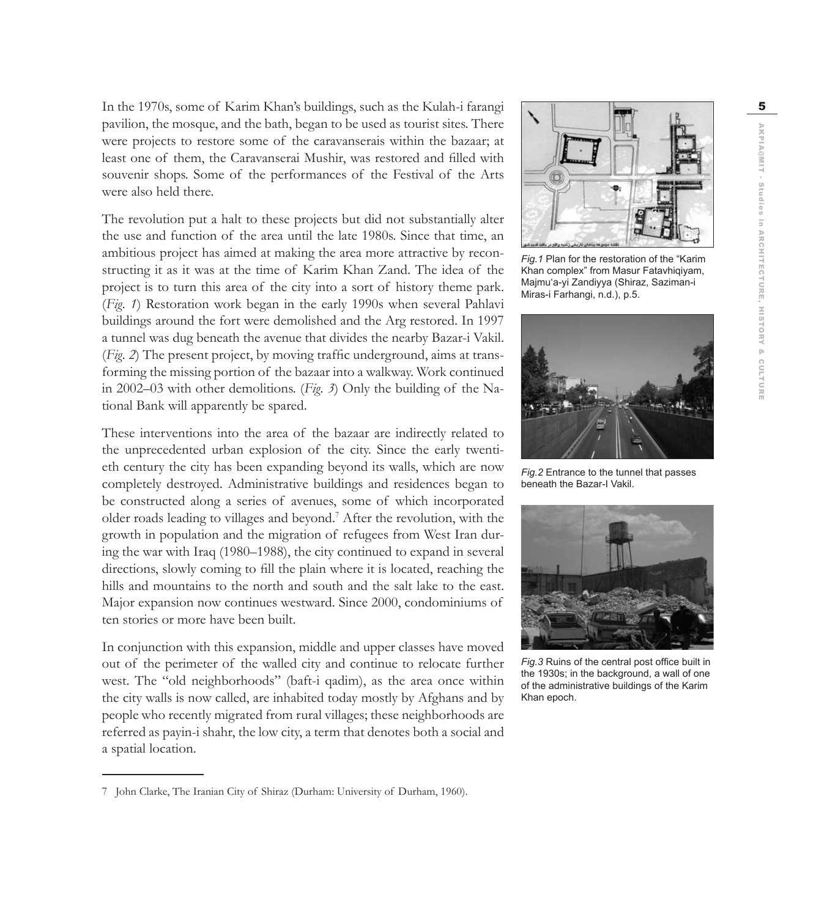In the 1970s, some of Karim Khan's buildings, such as the Kulah-i farangi 5 pavilion, the mosque, and the bath, began to be used as tourist sites. There were projects to restore some of the caravanserais within the bazaar; at least one of them, the Caravanserai Mushir, was restored and filled with souvenir shops. Some of the performances of the Festival of the Arts were also held there.

The revolution put a halt to these projects but did not substantially alter the use and function of the area until the late 1980s. Since that time, an ambitious project has aimed at making the area more attractive by reconstructing it as it was at the time of Karim Khan Zand. The idea of the project is to turn this area of the city into a sort of history theme park. (*Fig. 1*) Restoration work began in the early 1990s when several Pahlavi buildings around the fort were demolished and the Arg restored. In 1997 a tunnel was dug beneath the avenue that divides the nearby Bazar-i Vakil. (*Fig. 2*) The present project, by moving traffic underground, aims at transforming the missing portion of the bazaar into a walkway. Work continued in 2002–03 with other demolitions. (*Fig. 3*) Only the building of the National Bank will apparently be spared.

These interventions into the area of the bazaar are indirectly related to the unprecedented urban explosion of the city. Since the early twentieth century the city has been expanding beyond its walls, which are now completely destroyed. Administrative buildings and residences began to be constructed along a series of avenues, some of which incorporated older roads leading to villages and beyond.7 After the revolution, with the growth in population and the migration of refugees from West Iran during the war with Iraq (1980–1988), the city continued to expand in several directions, slowly coming to fill the plain where it is located, reaching the hills and mountains to the north and south and the salt lake to the east. Major expansion now continues westward. Since 2000, condominiums of ten stories or more have been built.

In conjunction with this expansion, middle and upper classes have moved out of the perimeter of the walled city and continue to relocate further west. The "old neighborhoods" (baft-i qadim), as the area once within the city walls is now called, are inhabited today mostly by Afghans and by people who recently migrated from rural villages; these neighborhoods are referred as payin-i shahr, the low city, a term that denotes both a social and a spatial location.



*Fig.1* Plan for the restoration of the "Karim Khan complex" from Masur Fatavhiqiyam, Majmu'a-yi Zandiyya (Shiraz, Saziman-i Miras-i Farhangi, n.d.), p.5.



*Fig.2* Entrance to the tunnel that passes beneath the Bazar-I Vakil.



*Fig.3* Ruins of the central post office built in the 1930s; in the background, a wall of one of the administrative buildings of the Karim Khan epoch.

<sup>7</sup> John Clarke, The Iranian City of Shiraz (Durham: University of Durham, 1960).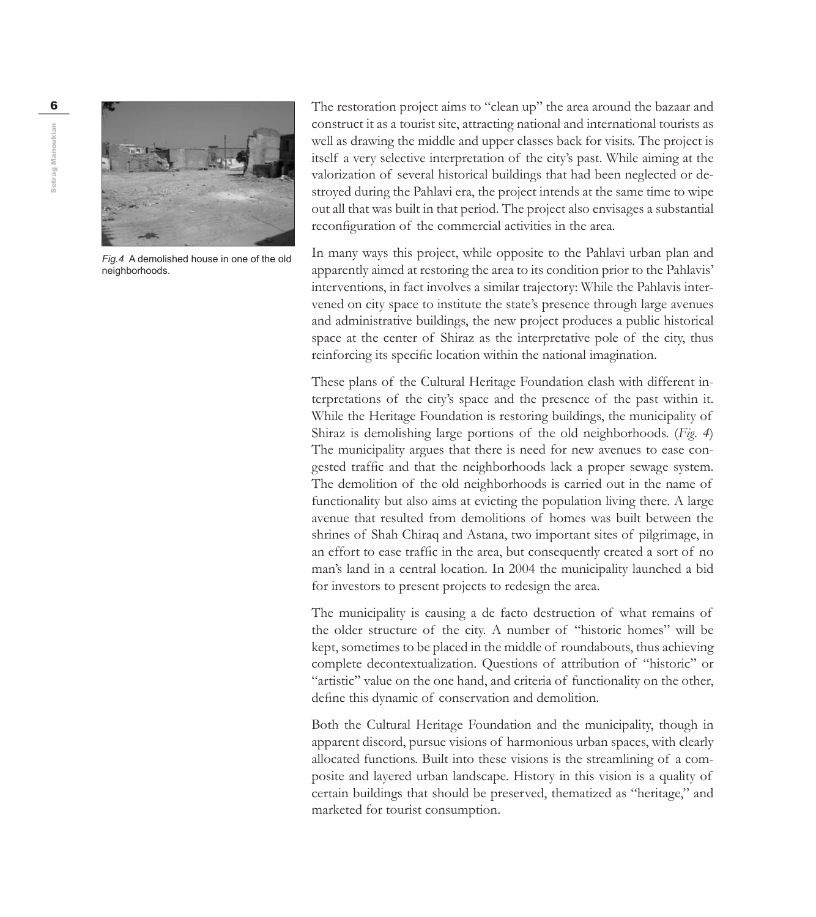

*Fig.4* A demolished house in one of the old neighborhoods.

6 **The restoration project aims to "clean up"** the area around the bazaar and construct it as a tourist site, attracting national and international tourists as well as drawing the middle and upper classes back for visits. The project is itself a very selective interpretation of the city's past. While aiming at the valorization of several historical buildings that had been neglected or destroyed during the Pahlavi era, the project intends at the same time to wipe out all that was built in that period. The project also envisages a substantial reconfiguration of the commercial activities in the area.

> In many ways this project, while opposite to the Pahlavi urban plan and apparently aimed at restoring the area to its condition prior to the Pahlavis' interventions, in fact involves a similar trajectory: While the Pahlavis intervened on city space to institute the state's presence through large avenues and administrative buildings, the new project produces a public historical space at the center of Shiraz as the interpretative pole of the city, thus reinforcing its specific location within the national imagination.

> These plans of the Cultural Heritage Foundation clash with different interpretations of the city's space and the presence of the past within it. While the Heritage Foundation is restoring buildings, the municipality of Shiraz is demolishing large portions of the old neighborhoods. (*Fig. 4*) The municipality argues that there is need for new avenues to ease congested traffic and that the neighborhoods lack a proper sewage system. The demolition of the old neighborhoods is carried out in the name of functionality but also aims at evicting the population living there. A large avenue that resulted from demolitions of homes was built between the shrines of Shah Chiraq and Astana, two important sites of pilgrimage, in an effort to ease traffic in the area, but consequently created a sort of no man's land in a central location. In 2004 the municipality launched a bid for investors to present projects to redesign the area.

> The municipality is causing a de facto destruction of what remains of the older structure of the city. A number of "historic homes" will be kept, sometimes to be placed in the middle of roundabouts, thus achieving complete decontextualization. Questions of attribution of "historic" or "artistic" value on the one hand, and criteria of functionality on the other, define this dynamic of conservation and demolition.

> Both the Cultural Heritage Foundation and the municipality, though in apparent discord, pursue visions of harmonious urban spaces, with clearly allocated functions. Built into these visions is the streamlining of a composite and layered urban landscape. History in this vision is a quality of certain buildings that should be preserved, thematized as "heritage," and marketed for tourist consumption.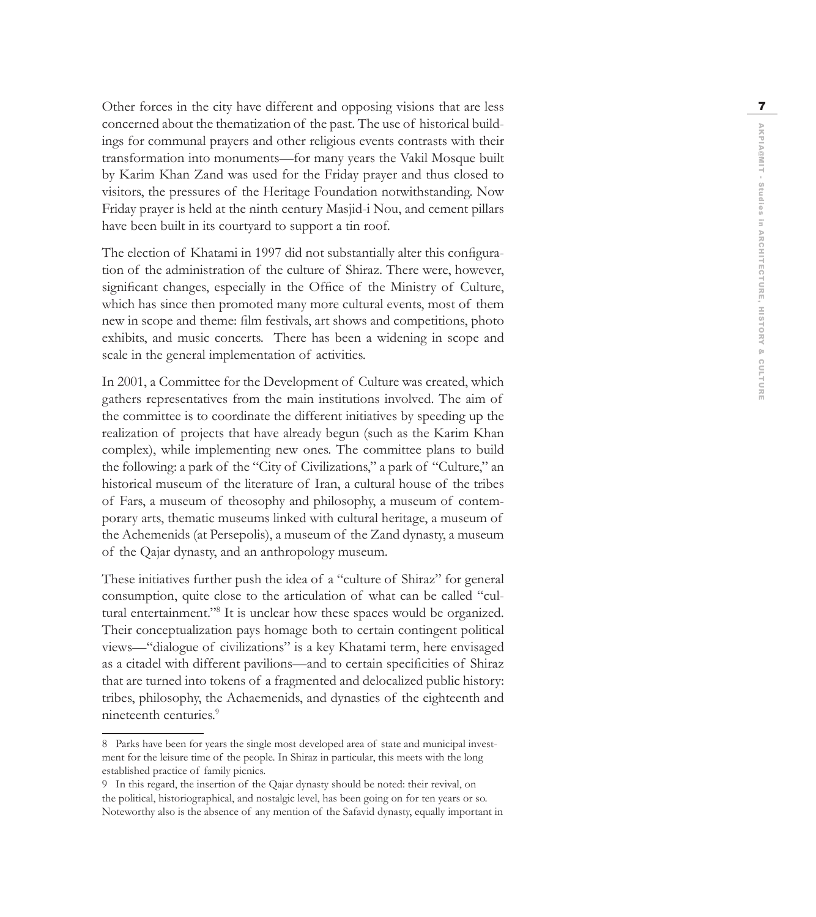Other forces in the city have different and opposing visions that are less concerned about the thematization of the past. The use of historical build ings for communal prayers and other religious events contrasts with their transformation into monuments—for many years the Vakil Mosque built by Karim Khan Zand was used for the Friday prayer and thus closed to visitors, the pressures of the Heritage Foundation notwithstanding. Now Friday prayer is held at the ninth century Masjid-i Nou, and cement pillars have been built in its courtyard to support a tin roof.

The election of Khatami in 1997 did not substantially alter this configura tion of the administration of the culture of Shiraz. There were, however, significant changes, especially in the Office of the Ministry of Culture, which has since then promoted many more cultural events, most of them new in scope and theme: film festivals, art shows and competitions, photo exhibits, and music concerts. There has been a widening in scope and scale in the general implementation of activities.

In 2001, a Committee for the Development of Culture was created, which gathers representatives from the main institutions involved. The aim of the committee is to coordinate the different initiatives by speeding up the realization of projects that have already begun (such as the Karim Khan complex), while implementing new ones. The committee plans to build the following: a park of the "City of Civilizations," a park of "Culture," an historical museum of the literature of Iran, a cultural house of the tribes of Fars, a museum of theosophy and philosophy, a museum of contem porary arts, thematic museums linked with cultural heritage, a museum of the Achemenids (at Persepolis), a museum of the Zand dynasty, a museum of the Qajar dynasty, and an anthropology museum.

These initiatives further push the idea of a "culture of Shiraz" for general consumption, quite close to the articulation of what can be called "cul tural entertainment."<sup>8</sup> It is unclear how these spaces would be organized. Their conceptualization pays homage both to certain contingent political views—"dialogue of civilizations" is a key Khatami term, here envisaged as a citadel with different pavilions—and to certain specificities of Shiraz that are turned into tokens of a fragmented and delocalized public history: tribes, philosophy, the Achaemenids, and dynasties of the eighteenth and nineteenth centuries. 9

<sup>8</sup> Parks have been for years the single most developed area of state and municipal invest ment for the leisure time of the people. In Shiraz in particular, this meets with the long established practice of family picnics.

<sup>9</sup> In this regard, the insertion of the Qajar dynasty should be noted: their revival, on the political, historiographical, and nostalgic level, has been going on for ten years or so. Noteworthy also is the absence of any mention of the Safavid dynasty, equally important in